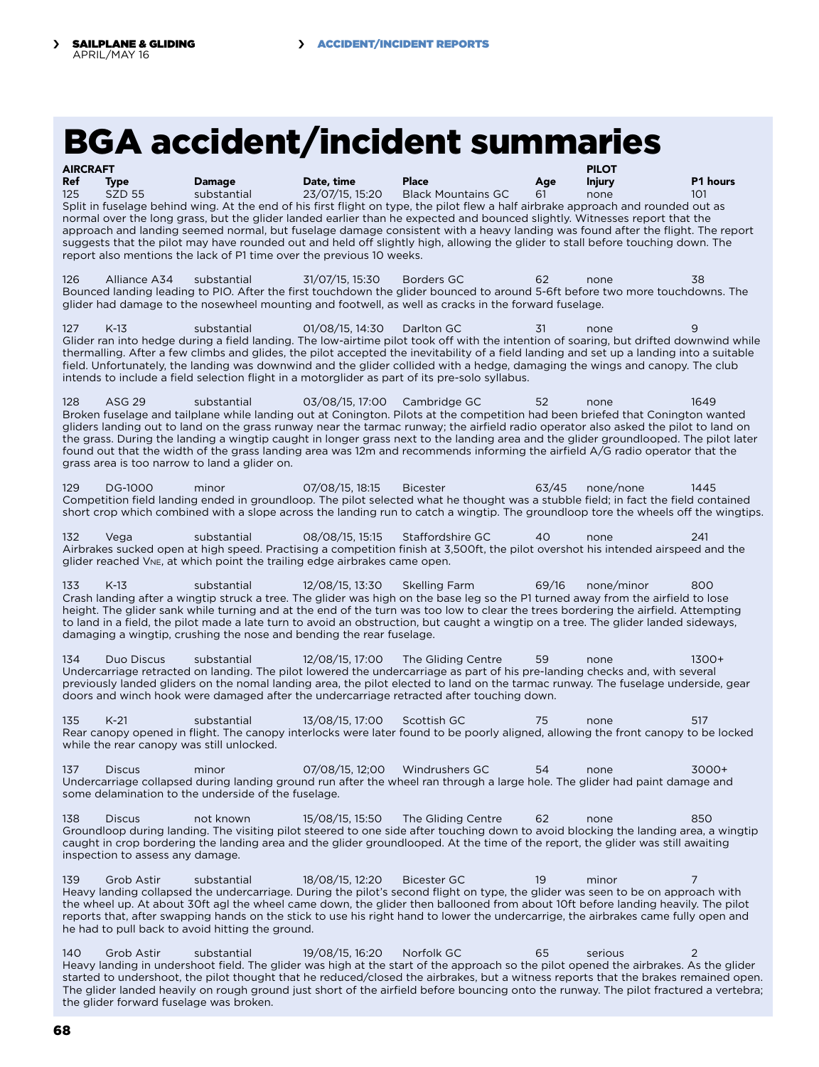## BGA accident/incident summaries

| <b>AIRCRAFT</b>                                                                                                                 |              |               |                 |                                                                                                                                   |     | <b>PILOT</b>  |          |  |  |  |  |
|---------------------------------------------------------------------------------------------------------------------------------|--------------|---------------|-----------------|-----------------------------------------------------------------------------------------------------------------------------------|-----|---------------|----------|--|--|--|--|
| Ref                                                                                                                             | <b>Type</b>  | <b>Damage</b> | Date, time      | <b>Place</b>                                                                                                                      | Aae | <b>Injury</b> | P1 hours |  |  |  |  |
| 125                                                                                                                             | SZD 55       | substantial   | 23/07/15.15:20  | <b>Black Mountains GC</b>                                                                                                         | 61  | none          | 101      |  |  |  |  |
|                                                                                                                                 |              |               |                 | Split in fuselage behind wing. At the end of his first flight on type, the pilot flew a half airbrake approach and rounded out as |     |               |          |  |  |  |  |
|                                                                                                                                 |              |               |                 | normal over the long grass, but the glider landed earlier than he expected and bounced slightly. Witnesses report that the        |     |               |          |  |  |  |  |
| approach and landing seemed normal, but fuselage damage consistent with a heavy landing was found after the flight. The report  |              |               |                 |                                                                                                                                   |     |               |          |  |  |  |  |
| suggests that the pilot may have rounded out and held off slightly high, allowing the glider to stall before touching down. The |              |               |                 |                                                                                                                                   |     |               |          |  |  |  |  |
| report also mentions the lack of P1 time over the previous 10 weeks.                                                            |              |               |                 |                                                                                                                                   |     |               |          |  |  |  |  |
|                                                                                                                                 |              |               |                 |                                                                                                                                   |     |               |          |  |  |  |  |
| 126                                                                                                                             | Alliance A34 | substantial   | 31/07/15, 15:30 | Borders GC                                                                                                                        | 62  | none          | 38       |  |  |  |  |
| Bounced landing leading to PIO. After the first touchdown the glider bounced to around 5-6ft before two more touchdowns. The    |              |               |                 |                                                                                                                                   |     |               |          |  |  |  |  |
| glider had damage to the nosewheel mounting and footwell, as well as cracks in the forward fuselage.                            |              |               |                 |                                                                                                                                   |     |               |          |  |  |  |  |

127 K-13 substantial 01/08/15, 14:30 Darlton GC 31 none 9 Glider ran into hedge during a field landing. The low-airtime pilot took off with the intention of soaring, but drifted downwind while thermalling. After a few climbs and glides, the pilot accepted the inevitability of a field landing and set up a landing into a suitable field. Unfortunately, the landing was downwind and the glider collided with a hedge, damaging the wings and canopy. The club intends to include a field selection flight in a motorglider as part of its pre-solo syllabus.

128 ASG 29 substantial 03/08/15, 17:00 Cambridge GC 52 none 1649 Broken fuselage and tailplane while landing out at Conington. Pilots at the competition had been briefed that Conington wanted gliders landing out to land on the grass runway near the tarmac runway; the airfield radio operator also asked the pilot to land on the grass. During the landing a wingtip caught in longer grass next to the landing area and the glider groundlooped. The pilot later found out that the width of the grass landing area was 12m and recommends informing the airfield A/G radio operator that the grass area is too narrow to land a glider on.

129 DG-1000 minor 07/08/15, 18:15 Bicester 63/45 none/none 1445 Competition field landing ended in groundloop. The pilot selected what he thought was a stubble field; in fact the field contained short crop which combined with a slope across the landing run to catch a wingtip. The groundloop tore the wheels off the wingtips.

132 Vega substantial 08/08/15, 15:15 Staffordshire GC 40 none Airbrakes sucked open at high speed. Practising a competition finish at 3,500ft, the pilot overshot his intended airspeed and the glider reached Vne, at which point the trailing edge airbrakes came open.

133 K-13 substantial 12/08/15, 13:30 Skelling Farm 69/16 none/minor 800 Crash landing after a wingtip struck a tree. The glider was high on the base leg so the P1 turned away from the airfield to lose height. The glider sank while turning and at the end of the turn was too low to clear the trees bordering the airfield. Attempting to land in a field, the pilot made a late turn to avoid an obstruction, but caught a wingtip on a tree. The glider landed sideways, damaging a wingtip, crushing the nose and bending the rear fuselage.

134 Duo Discus substantial 12/08/15, 17:00 The Gliding Centre 59 none 1300+ Undercarriage retracted on landing. The pilot lowered the undercarriage as part of his pre-landing checks and, with several previously landed gliders on the nomal landing area, the pilot elected to land on the tarmac runway. The fuselage underside, gear doors and winch hook were damaged after the undercarriage retracted after touching down.

135 K-21 substantial 13/08/15, 17:00 Scottish GC 75 none 517 Rear canopy opened in flight. The canopy interlocks were later found to be poorly aligned, allowing the front canopy to be locked while the rear canopy was still unlocked.

137 Discus minor 07/08/15, 12;00 Windrushers GC 54 none 3000+ Undercarriage collapsed during landing ground run after the wheel ran through a large hole. The glider had paint damage and some delamination to the underside of the fuselage.

138 Discus not known 15/08/15, 15:50 The Gliding Centre 62 none Groundloop during landing. The visiting pilot steered to one side after touching down to avoid blocking the landing area, a wingtip caught in crop bordering the landing area and the glider groundlooped. At the time of the report, the glider was still awaiting inspection to assess any damage.

139 Grob Astir substantial 18/08/15, 12:20 Bicester GC 19 minor 7 Heavy landing collapsed the undercarriage. During the pilot's second flight on type, the glider was seen to be on approach with the wheel up. At about 30ft agl the wheel came down, the glider then ballooned from about 10ft before landing heavily. The pilot reports that, after swapping hands on the stick to use his right hand to lower the undercarrige, the airbrakes came fully open and he had to pull back to avoid hitting the ground.

140 Grob Astir substantial 19/08/15, 16:20 Norfolk GC 65 serious Heavy landing in undershoot field. The glider was high at the start of the approach so the pilot opened the airbrakes. As the glider started to undershoot, the pilot thought that he reduced/closed the airbrakes, but a witness reports that the brakes remained open. The glider landed heavily on rough ground just short of the airfield before bouncing onto the runway. The pilot fractured a vertebra; the glider forward fuselage was broken.